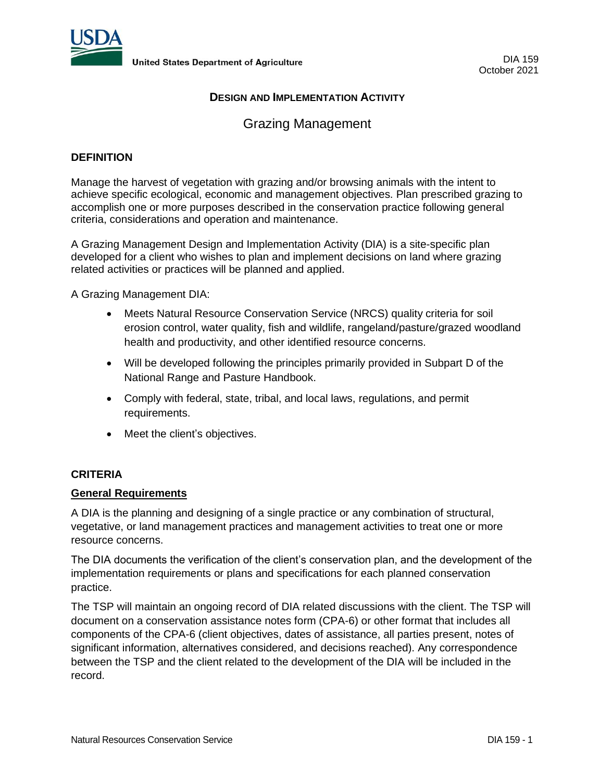

# **DESIGN AND IMPLEMENTATION ACTIVITY**

# Grazing Management

## **DEFINITION**

Manage the harvest of vegetation with grazing and/or browsing animals with the intent to achieve specific ecological, economic and management objectives. Plan prescribed grazing to accomplish one or more purposes described in the conservation practice following general criteria, considerations and operation and maintenance.

A Grazing Management Design and Implementation Activity (DIA) is a site-specific plan developed for a client who wishes to plan and implement decisions on land where grazing related activities or practices will be planned and applied.

A Grazing Management DIA:

- Meets Natural Resource Conservation Service (NRCS) quality criteria for soil erosion control, water quality, fish and wildlife, rangeland/pasture/grazed woodland health and productivity, and other identified resource concerns.
- Will be developed following the principles primarily provided in Subpart D of the National Range and Pasture Handbook.
- Comply with federal, state, tribal, and local laws, regulations, and permit requirements.
- Meet the client's objectives.

# **CRITERIA**

#### **General Requirements**

A DIA is the planning and designing of a single practice or any combination of structural, vegetative, or land management practices and management activities to treat one or more resource concerns.

The DIA documents the verification of the client's conservation plan, and the development of the implementation requirements or plans and specifications for each planned conservation practice.

The TSP will maintain an ongoing record of DIA related discussions with the client. The TSP will document on a conservation assistance notes form (CPA-6) or other format that includes all components of the CPA-6 (client objectives, dates of assistance, all parties present, notes of significant information, alternatives considered, and decisions reached). Any correspondence between the TSP and the client related to the development of the DIA will be included in the record.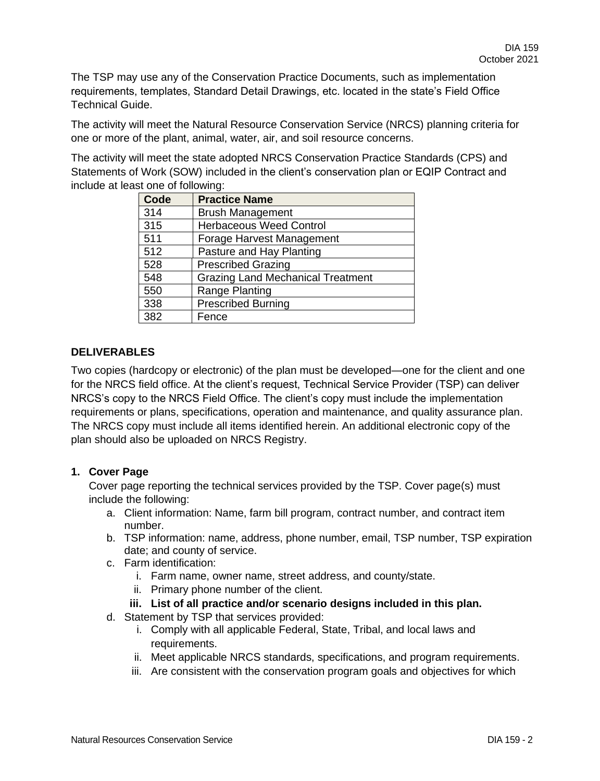The TSP may use any of the Conservation Practice Documents, such as implementation requirements, templates, Standard Detail Drawings, etc. located in the state's Field Office Technical Guide.

The activity will meet the Natural Resource Conservation Service (NRCS) planning criteria for one or more of the plant, animal, water, air, and soil resource concerns.

The activity will meet the state adopted NRCS Conservation Practice Standards (CPS) and Statements of Work (SOW) included in the client's conservation plan or EQIP Contract and include at least one of following:

| Code | <b>Practice Name</b>                     |
|------|------------------------------------------|
| 314  | <b>Brush Management</b>                  |
| 315  | <b>Herbaceous Weed Control</b>           |
| 511  | Forage Harvest Management                |
| 512  | Pasture and Hay Planting                 |
| 528  | <b>Prescribed Grazing</b>                |
| 548  | <b>Grazing Land Mechanical Treatment</b> |
| 550  | Range Planting                           |
| 338  | <b>Prescribed Burning</b>                |
| 382  | Fence                                    |

# **DELIVERABLES**

Two copies (hardcopy or electronic) of the plan must be developed—one for the client and one for the NRCS field office. At the client's request, Technical Service Provider (TSP) can deliver NRCS's copy to the NRCS Field Office. The client's copy must include the implementation requirements or plans, specifications, operation and maintenance, and quality assurance plan. The NRCS copy must include all items identified herein. An additional electronic copy of the plan should also be uploaded on NRCS Registry.

# **1. Cover Page**

Cover page reporting the technical services provided by the TSP. Cover page(s) must include the following:

- a. Client information: Name, farm bill program, contract number, and contract item number.
- b. TSP information: name, address, phone number, email, TSP number, TSP expiration date; and county of service.
- c. Farm identification:
	- i. Farm name, owner name, street address, and county/state.
	- ii. Primary phone number of the client.
	- **iii. List of all practice and/or scenario designs included in this plan.**
- d. Statement by TSP that services provided:
	- i. Comply with all applicable Federal, State, Tribal, and local laws and requirements.
	- ii. Meet applicable NRCS standards, specifications, and program requirements.
	- iii. Are consistent with the conservation program goals and objectives for which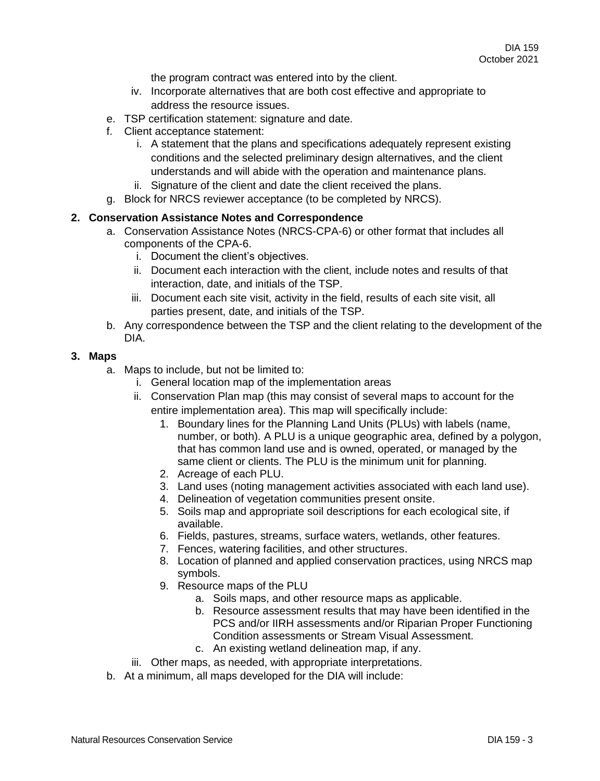the program contract was entered into by the client.

- iv. Incorporate alternatives that are both cost effective and appropriate to address the resource issues.
- e. TSP certification statement: signature and date.
- f. Client acceptance statement:
	- i. A statement that the plans and specifications adequately represent existing conditions and the selected preliminary design alternatives, and the client understands and will abide with the operation and maintenance plans.
	- ii. Signature of the client and date the client received the plans.
- g. Block for NRCS reviewer acceptance (to be completed by NRCS).

## **2. Conservation Assistance Notes and Correspondence**

- a. Conservation Assistance Notes (NRCS-CPA-6) or other format that includes all components of the CPA-6.
	- i. Document the client's objectives.
	- ii. Document each interaction with the client, include notes and results of that interaction, date, and initials of the TSP.
	- iii. Document each site visit, activity in the field, results of each site visit, all parties present, date, and initials of the TSP.
- b. Any correspondence between the TSP and the client relating to the development of the DIA.

#### **3. Maps**

- a. Maps to include, but not be limited to:
	- i. General location map of the implementation areas
	- ii. Conservation Plan map (this may consist of several maps to account for the entire implementation area). This map will specifically include:
		- 1. Boundary lines for the Planning Land Units (PLUs) with labels (name, number, or both). A PLU is a unique geographic area, defined by a polygon, that has common land use and is owned, operated, or managed by the same client or clients. The PLU is the minimum unit for planning.
		- 2. Acreage of each PLU.
		- 3. Land uses (noting management activities associated with each land use).
		- 4. Delineation of vegetation communities present onsite.
		- 5. Soils map and appropriate soil descriptions for each ecological site, if available.
		- 6. Fields, pastures, streams, surface waters, wetlands, other features.
		- 7. Fences, watering facilities, and other structures.
		- 8. Location of planned and applied conservation practices, using NRCS map symbols.
		- 9. Resource maps of the PLU
			- a. Soils maps, and other resource maps as applicable.
			- b. Resource assessment results that may have been identified in the PCS and/or IIRH assessments and/or Riparian Proper Functioning Condition assessments or Stream Visual Assessment.
			- c. An existing wetland delineation map, if any.
	- iii. Other maps, as needed, with appropriate interpretations.
- b. At a minimum, all maps developed for the DIA will include: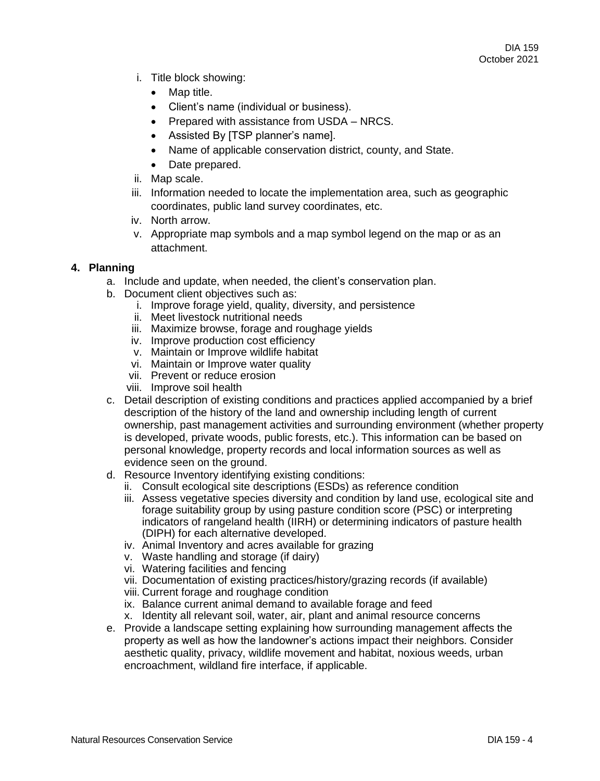- i. Title block showing:
	- Map title.
	- Client's name (individual or business).
	- Prepared with assistance from USDA NRCS.
	- Assisted By [TSP planner's name].
	- Name of applicable conservation district, county, and State.
	- Date prepared.
- ii. Map scale.
- iii. Information needed to locate the implementation area, such as geographic coordinates, public land survey coordinates, etc.
- iv. North arrow.
- v. Appropriate map symbols and a map symbol legend on the map or as an attachment.

#### **4. Planning**

- a. Include and update, when needed, the client's conservation plan.
- b. Document client objectives such as:
	- i. Improve forage yield, quality, diversity, and persistence
	- ii. Meet livestock nutritional needs
	- iii. Maximize browse, forage and roughage yields
	- iv. Improve production cost efficiency
	- v. Maintain or Improve wildlife habitat
	- vi. Maintain or Improve water quality
	- vii. Prevent or reduce erosion
	- viii. Improve soil health
- c. Detail description of existing conditions and practices applied accompanied by a brief description of the history of the land and ownership including length of current ownership, past management activities and surrounding environment (whether property is developed, private woods, public forests, etc.). This information can be based on personal knowledge, property records and local information sources as well as evidence seen on the ground.
- d. Resource Inventory identifying existing conditions:
	- ii. Consult ecological site descriptions (ESDs) as reference condition
	- iii. Assess vegetative species diversity and condition by land use, ecological site and forage suitability group by using pasture condition score (PSC) or interpreting indicators of rangeland health (IIRH) or determining indicators of pasture health (DIPH) for each alternative developed.
	- iv. Animal Inventory and acres available for grazing
	- v. Waste handling and storage (if dairy)
	- vi. Watering facilities and fencing
	- vii. Documentation of existing practices/history/grazing records (if available)
	- viii. Current forage and roughage condition
	- ix. Balance current animal demand to available forage and feed
	- x. Identity all relevant soil, water, air, plant and animal resource concerns
- e. Provide a landscape setting explaining how surrounding management affects the property as well as how the landowner's actions impact their neighbors. Consider aesthetic quality, privacy, wildlife movement and habitat, noxious weeds, urban encroachment, wildland fire interface, if applicable.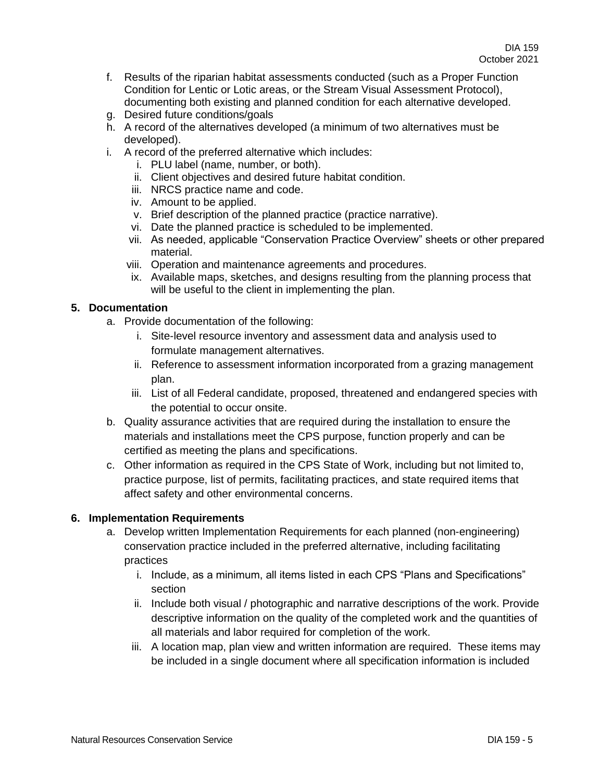- f. Results of the riparian habitat assessments conducted (such as a Proper Function Condition for Lentic or Lotic areas, or the Stream Visual Assessment Protocol), documenting both existing and planned condition for each alternative developed.
- g. Desired future conditions/goals
- h. A record of the alternatives developed (a minimum of two alternatives must be developed).
- i. A record of the preferred alternative which includes:
	- i. PLU label (name, number, or both).
	- ii. Client objectives and desired future habitat condition.
	- iii. NRCS practice name and code.
	- iv. Amount to be applied.
	- v. Brief description of the planned practice (practice narrative).
	- vi. Date the planned practice is scheduled to be implemented.
	- vii. As needed, applicable "Conservation Practice Overview" sheets or other prepared material.
	- viii. Operation and maintenance agreements and procedures.
	- ix. Available maps, sketches, and designs resulting from the planning process that will be useful to the client in implementing the plan.

## **5. Documentation**

- a. Provide documentation of the following:
	- i. Site-level resource inventory and assessment data and analysis used to formulate management alternatives.
	- ii. Reference to assessment information incorporated from a grazing management plan.
	- iii. List of all Federal candidate, proposed, threatened and endangered species with the potential to occur onsite.
- b. Quality assurance activities that are required during the installation to ensure the materials and installations meet the CPS purpose, function properly and can be certified as meeting the plans and specifications.
- c. Other information as required in the CPS State of Work, including but not limited to, practice purpose, list of permits, facilitating practices, and state required items that affect safety and other environmental concerns.

#### **6. Implementation Requirements**

- a. Develop written Implementation Requirements for each planned (non-engineering) conservation practice included in the preferred alternative, including facilitating practices
	- i. Include, as a minimum, all items listed in each CPS "Plans and Specifications" section
	- ii. Include both visual / photographic and narrative descriptions of the work. Provide descriptive information on the quality of the completed work and the quantities of all materials and labor required for completion of the work.
	- iii. A location map, plan view and written information are required. These items may be included in a single document where all specification information is included